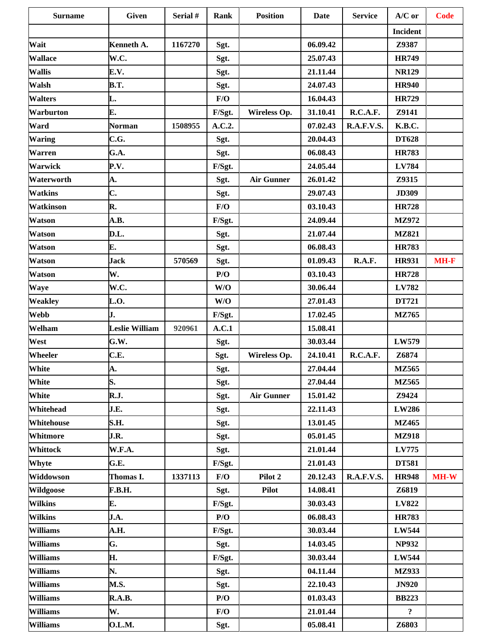| <b>Surname</b>   | <b>Given</b>          | Serial # | <b>Rank</b> | <b>Position</b>   | <b>Date</b> | <b>Service</b>    | $A/C$ or                | <b>Code</b> |
|------------------|-----------------------|----------|-------------|-------------------|-------------|-------------------|-------------------------|-------------|
|                  |                       |          |             |                   |             |                   | <b>Incident</b>         |             |
| Wait             | Kenneth A.            | 1167270  | Sgt.        |                   | 06.09.42    |                   | Z9387                   |             |
| <b>Wallace</b>   | W.C.                  |          | Sgt.        |                   | 25.07.43    |                   | <b>HR749</b>            |             |
| <b>Wallis</b>    | E.V.                  |          | Sgt.        |                   | 21.11.44    |                   | <b>NR129</b>            |             |
| Walsh            | <b>B.T.</b>           |          | Sgt.        |                   | 24.07.43    |                   | <b>HR940</b>            |             |
| <b>Walters</b>   | L.                    |          | F/O         |                   | 16.04.43    |                   | <b>HR729</b>            |             |
| Warburton        | E.                    |          | F/Sgt.      | Wireless Op.      | 31.10.41    | R.C.A.F.          | Z9141                   |             |
| Ward             | <b>Norman</b>         | 1508955  | A.C.2.      |                   | 07.02.43    | <b>R.A.F.V.S.</b> | K.B.C.                  |             |
| <b>Waring</b>    | C.G.                  |          | Sgt.        |                   | 20.04.43    |                   | <b>DT628</b>            |             |
| <b>Warren</b>    | G.A.                  |          | Sgt.        |                   | 06.08.43    |                   | <b>HR783</b>            |             |
| <b>Warwick</b>   | P.V.                  |          | F/Sgt.      |                   | 24.05.44    |                   | LV784                   |             |
| Waterworth       | A.                    |          | Sgt.        | <b>Air Gunner</b> | 26.01.42    |                   | Z9315                   |             |
| <b>Watkins</b>   | C.                    |          | Sgt.        |                   | 29.07.43    |                   | <b>JD309</b>            |             |
| Watkinson        | R.                    |          | F/O         |                   | 03.10.43    |                   | <b>HR728</b>            |             |
| Watson           | A.B.                  |          | F/Sgt.      |                   | 24.09.44    |                   | MZ972                   |             |
| <b>Watson</b>    | D.L.                  |          | Sgt.        |                   | 21.07.44    |                   | <b>MZ821</b>            |             |
| <b>Watson</b>    | Е.                    |          | Sgt.        |                   | 06.08.43    |                   | <b>HR783</b>            |             |
| <b>Watson</b>    | <b>Jack</b>           | 570569   | Sgt.        |                   | 01.09.43    | R.A.F.            | <b>HR931</b>            | $MH-F$      |
| <b>Watson</b>    | W.                    |          | P/O         |                   | 03.10.43    |                   | <b>HR728</b>            |             |
| Waye             | W.C.                  |          | W/O         |                   | 30.06.44    |                   | LV782                   |             |
| <b>Weakley</b>   | L.O.                  |          | W/O         |                   | 27.01.43    |                   | DT721                   |             |
| Webb             | J.                    |          | F/Sgt.      |                   | 17.02.45    |                   | MZ765                   |             |
| Welham           | <b>Leslie William</b> | 920961   | A.C.1       |                   | 15.08.41    |                   |                         |             |
| West             | G.W.                  |          | Sgt.        |                   | 30.03.44    |                   | LW579                   |             |
| Wheeler          | C.E.                  |          | Sgt.        | Wireless Op.      | 24.10.41    | R.C.A.F.          | Z6874                   |             |
| <b>White</b>     | A.                    |          | Sgt.        |                   | 27.04.44    |                   | <b>MZ565</b>            |             |
| White            | S.                    |          | Sgt.        |                   | 27.04.44    |                   | MZ565                   |             |
| White            | <b>R.J.</b>           |          | Sgt.        | <b>Air Gunner</b> | 15.01.42    |                   | Z9424                   |             |
| Whitehead        | J.E.                  |          | Sgt.        |                   | 22.11.43    |                   | LW286                   |             |
| Whitehouse       | S.H.                  |          | Sgt.        |                   | 13.01.45    |                   | <b>MZ465</b>            |             |
| Whitmore         | J.R.                  |          | Sgt.        |                   | 05.01.45    |                   | <b>MZ918</b>            |             |
| Whittock         | W.F.A.                |          | Sgt.        |                   | 21.01.44    |                   | LV775                   |             |
| Whyte            | G.E.                  |          | F/Sgt.      |                   | 21.01.43    |                   | <b>DT581</b>            |             |
| Widdowson        | Thomas I.             | 1337113  | F/O         | Pilot 2           | 20.12.43    | <b>R.A.F.V.S.</b> | <b>HR948</b>            | $MH-W$      |
| <b>Wildgoose</b> | <b>F.B.H.</b>         |          | Sgt.        | <b>Pilot</b>      | 14.08.41    |                   | Z6819                   |             |
| <b>Wilkins</b>   | E.                    |          | F/Sgt.      |                   | 30.03.43    |                   | LV822                   |             |
| <b>Wilkins</b>   | J.A.                  |          | P/O         |                   | 06.08.43    |                   | <b>HR783</b>            |             |
| <b>Williams</b>  | A.H.                  |          | F/Sgt.      |                   | 30.03.44    |                   | LW544                   |             |
| <b>Williams</b>  | G.                    |          | Sgt.        |                   | 14.03.45    |                   | <b>NP932</b>            |             |
| <b>Williams</b>  | Н.                    |          | F/Sgt.      |                   | 30.03.44    |                   | <b>LW544</b>            |             |
| <b>Williams</b>  | N.                    |          | Sgt.        |                   | 04.11.44    |                   | <b>MZ933</b>            |             |
| <b>Williams</b>  | <b>M.S.</b>           |          | Sgt.        |                   | 22.10.43    |                   | <b>JN920</b>            |             |
| <b>Williams</b>  | R.A.B.                |          | P/O         |                   | 01.03.43    |                   | <b>BB223</b>            |             |
| <b>Williams</b>  | W.                    |          | F/O         |                   | 21.01.44    |                   | $\overline{\mathbf{?}}$ |             |
| <b>Williams</b>  | <b>O.L.M.</b>         |          | Sgt.        |                   | 05.08.41    |                   | Z6803                   |             |